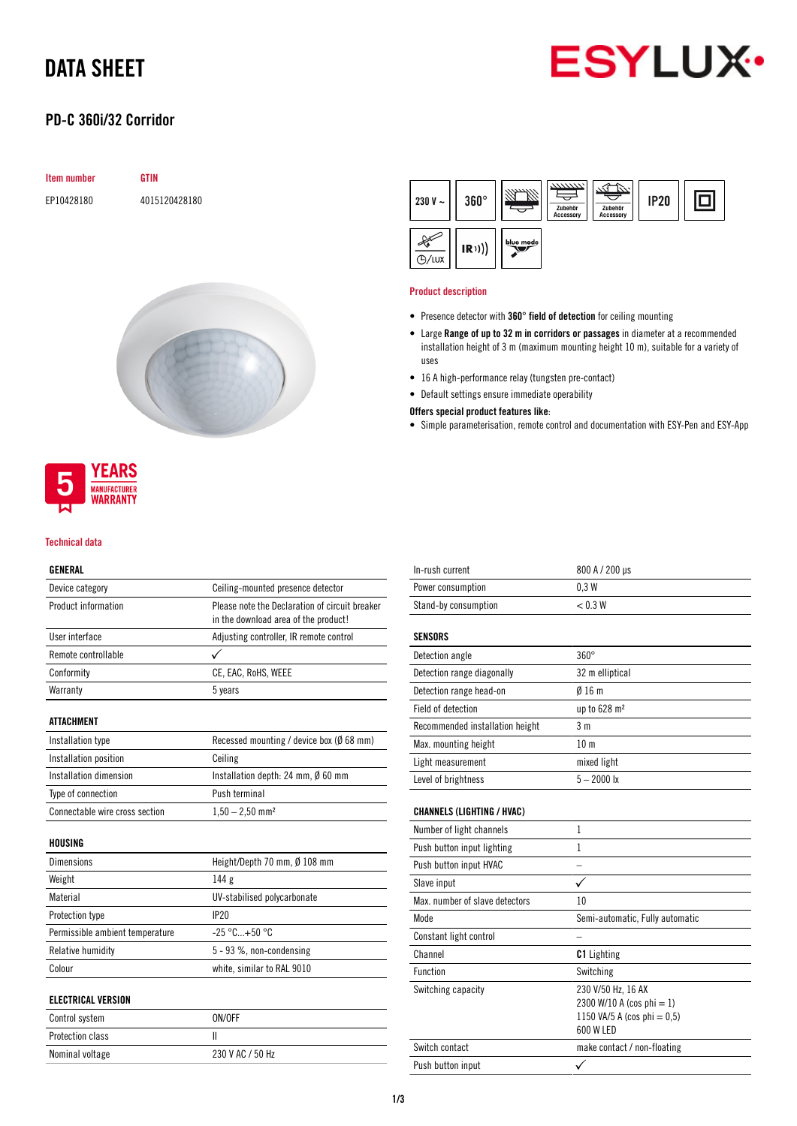# DATA SHEET

### PD-C 360i/32 Corridor







#### Technical data

### GENERAL

| Device category                 | Ceiling-mounted presence detector              |  |  |
|---------------------------------|------------------------------------------------|--|--|
| Product information             | Please note the Declaration of circuit breaker |  |  |
|                                 | in the download area of the product!           |  |  |
| User interface                  | Adjusting controller, IR remote control        |  |  |
| Remote controllable             |                                                |  |  |
| Conformity                      | CE, EAC, RoHS, WEEE                            |  |  |
| Warranty                        | 5 years                                        |  |  |
| ATTACHMENT                      |                                                |  |  |
| Installation type               | Recessed mounting / device box (Ø 68 mm)       |  |  |
| Installation position           | Ceiling                                        |  |  |
| Installation dimension          | Installation depth: 24 mm, Ø 60 mm             |  |  |
| Type of connection              | Push terminal                                  |  |  |
| Connectable wire cross section  | $1,50 - 2,50$ mm <sup>2</sup>                  |  |  |
| HOUSING                         |                                                |  |  |
| <b>Dimensions</b>               | Height/Depth 70 mm, Ø 108 mm                   |  |  |
| Weight                          | 144 <sub>g</sub>                               |  |  |
| Material                        | UV-stabilised polycarbonate                    |  |  |
| Protection type                 | <b>IP20</b>                                    |  |  |
| Permissible ambient temperature | $-25 °C+50 °C$                                 |  |  |
| Relative humidity               | 5 - 93 %, non-condensing                       |  |  |
| Colour                          | white, similar to RAL 9010                     |  |  |
| <b>ELECTRICAL VERSION</b>       |                                                |  |  |
|                                 | 0.1100E                                        |  |  |

| Control system          | ON/OFF           |
|-------------------------|------------------|
| <b>Protection class</b> |                  |
| Nominal voltage         | 230 V AC / 50 Hz |



#### Product description

- Presence detector with 360° field of detection for ceiling mounting
- Large Range of up to 32 m in corridors or passages in diameter at a recommended installation height of 3 m (maximum mounting height 10 m), suitable for a variety of uses
- 16 A high-performance relay (tungsten pre-contact)
- Default settings ensure immediate operability

### Offers special product features like:

• Simple parameterisation, remote control and documentation with ESY-Pen and ESY-App

| In-rush current                   | 800 A / 200 µs                                                                                 |  |  |
|-----------------------------------|------------------------------------------------------------------------------------------------|--|--|
| Power consumption                 | 0.3W                                                                                           |  |  |
| Stand-by consumption              | < 0.3 W                                                                                        |  |  |
| SENSORS                           |                                                                                                |  |  |
| Detection angle                   | $360^\circ$                                                                                    |  |  |
| Detection range diagonally        | 32 m elliptical                                                                                |  |  |
| Detection range head-on           | Ø16m                                                                                           |  |  |
| <b>Field of detection</b>         | up to 628 m <sup>2</sup>                                                                       |  |  |
| Recommended installation height   | 3 <sub>m</sub>                                                                                 |  |  |
| Max. mounting height              | 10 <sub>m</sub>                                                                                |  |  |
| Light measurement                 | mixed light                                                                                    |  |  |
| Level of brightness               | $5 - 2000$ lx                                                                                  |  |  |
| <b>CHANNELS (LIGHTING / HVAC)</b> |                                                                                                |  |  |
| Number of light channels          | 1                                                                                              |  |  |
| Push button input lighting        | 1                                                                                              |  |  |
| Push button input HVAC            |                                                                                                |  |  |
| Slave input                       |                                                                                                |  |  |
| Max, number of slave detectors    | 10                                                                                             |  |  |
| Mode                              | Semi-automatic, Fully automatic                                                                |  |  |
| Constant light control            |                                                                                                |  |  |
| Channel                           | <b>C1</b> Lighting                                                                             |  |  |
| <b>Function</b>                   | Switching                                                                                      |  |  |
| Switching capacity                | 230 V/50 Hz, 16 AX<br>2300 W/10 A (cos phi = 1)<br>1150 VA/5 A (cos phi = $0,5$ )<br>600 W LED |  |  |
| Switch contact                    | make contact / non-floating                                                                    |  |  |
| Push button input                 |                                                                                                |  |  |
|                                   |                                                                                                |  |  |

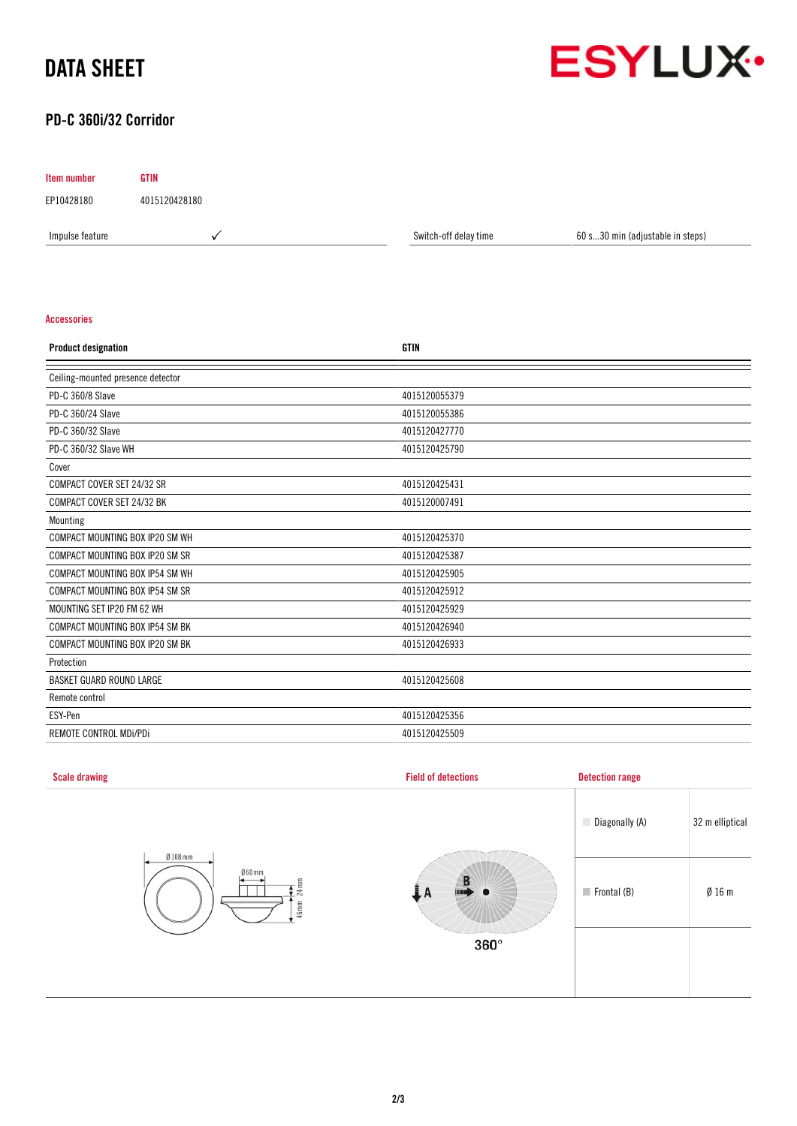# DATA SHEET



### PD-C 360i/32 Corridor

Item number GTIN EP10428180 4015120428180

Impulse feature **A Switch-off delay time** 60 s...30 min (adjustable in steps) or series of the Switch-off delay time

### Accessories

| <b>Product designation</b>        | <b>GTIN</b>   |
|-----------------------------------|---------------|
| Ceiling-mounted presence detector |               |
| PD-C 360/8 Slave                  | 4015120055379 |
| PD-C 360/24 Slave                 | 4015120055386 |
| PD-C 360/32 Slave                 | 4015120427770 |
| PD-C 360/32 Slave WH              | 4015120425790 |
| Cover                             |               |
| COMPACT COVER SET 24/32 SR        | 4015120425431 |
| COMPACT COVER SET 24/32 BK        | 4015120007491 |
| Mounting                          |               |
| COMPACT MOUNTING BOX IP20 SM WH   | 4015120425370 |
| COMPACT MOUNTING BOX IP20 SM SR   | 4015120425387 |
| COMPACT MOUNTING BOX IP54 SM WH   | 4015120425905 |
| COMPACT MOUNTING BOX IP54 SM SR   | 4015120425912 |
| MOUNTING SET IP20 FM 62 WH        | 4015120425929 |
| COMPACT MOUNTING BOX IP54 SM BK   | 4015120426940 |
| COMPACT MOUNTING BOX IP20 SM BK   | 4015120426933 |
| Protection                        |               |
| <b>BASKET GUARD ROUND LARGE</b>   | 4015120425608 |
| Remote control                    |               |
| ESY-Pen                           | 4015120425356 |
| REMOTE CONTROL MDi/PDi            | 4015120425509 |

| <b>Scale drawing</b>                              | <b>Field of detections</b> | <b>Detection range</b>     |                 |
|---------------------------------------------------|----------------------------|----------------------------|-----------------|
| $Ø108$ mm<br>$060$ mm<br>$24 \text{ mm}$<br>46 mm | B<br>A                     | Diagonally (A)             | 32 m elliptical |
|                                                   |                            | $\blacksquare$ Frontal (B) | Ø16m            |
|                                                   | $360^\circ$                |                            |                 |